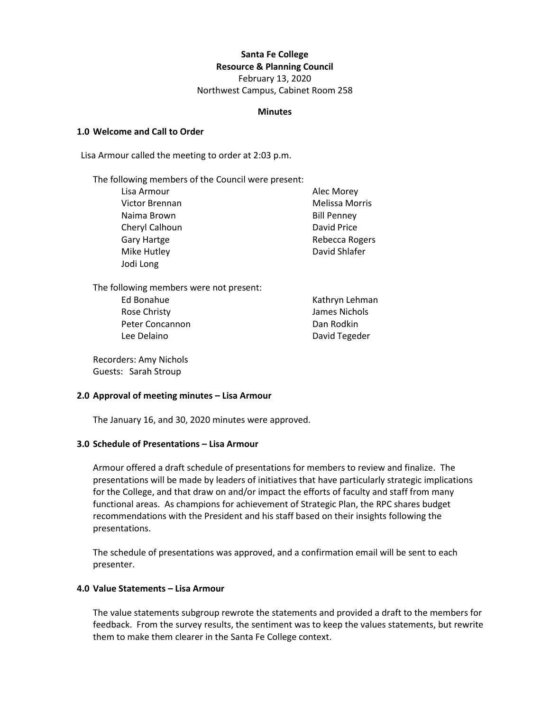# **Santa Fe College**

**Resource & Planning Council**

February 13, 2020 Northwest Campus, Cabinet Room 258

#### **Minutes**

#### **1.0 Welcome and Call to Order**

Lisa Armour called the meeting to order at 2:03 p.m.

The following members of the Council were present:

Lisa Armour **Alec Morey** Victor Brennan Melissa Morris Naima Brown **Bill Penney** Cheryl Calhoun David Price Gary Hartge **Rebecca Rogers Rebecca Rogers** Mike Hutley **David Shlafer** David Shlafer Jodi Long

The following members were not present:

Ed Bonahue **Kathryn Lehman** Rose Christy James Nichols Peter Concannon **Dan Rodkin** Lee Delaino **David Tegeder** 

Recorders: Amy Nichols Guests: Sarah Stroup

## **2.0 Approval of meeting minutes – Lisa Armour**

The January 16, and 30, 2020 minutes were approved.

## **3.0 Schedule of Presentations – Lisa Armour**

Armour offered a draft schedule of presentations for members to review and finalize. The presentations will be made by leaders of initiatives that have particularly strategic implications for the College, and that draw on and/or impact the efforts of faculty and staff from many functional areas. As champions for achievement of Strategic Plan, the RPC shares budget recommendations with the President and his staff based on their insights following the presentations.

The schedule of presentations was approved, and a confirmation email will be sent to each presenter.

# **4.0 Value Statements – Lisa Armour**

The value statements subgroup rewrote the statements and provided a draft to the members for feedback. From the survey results, the sentiment was to keep the values statements, but rewrite them to make them clearer in the Santa Fe College context.